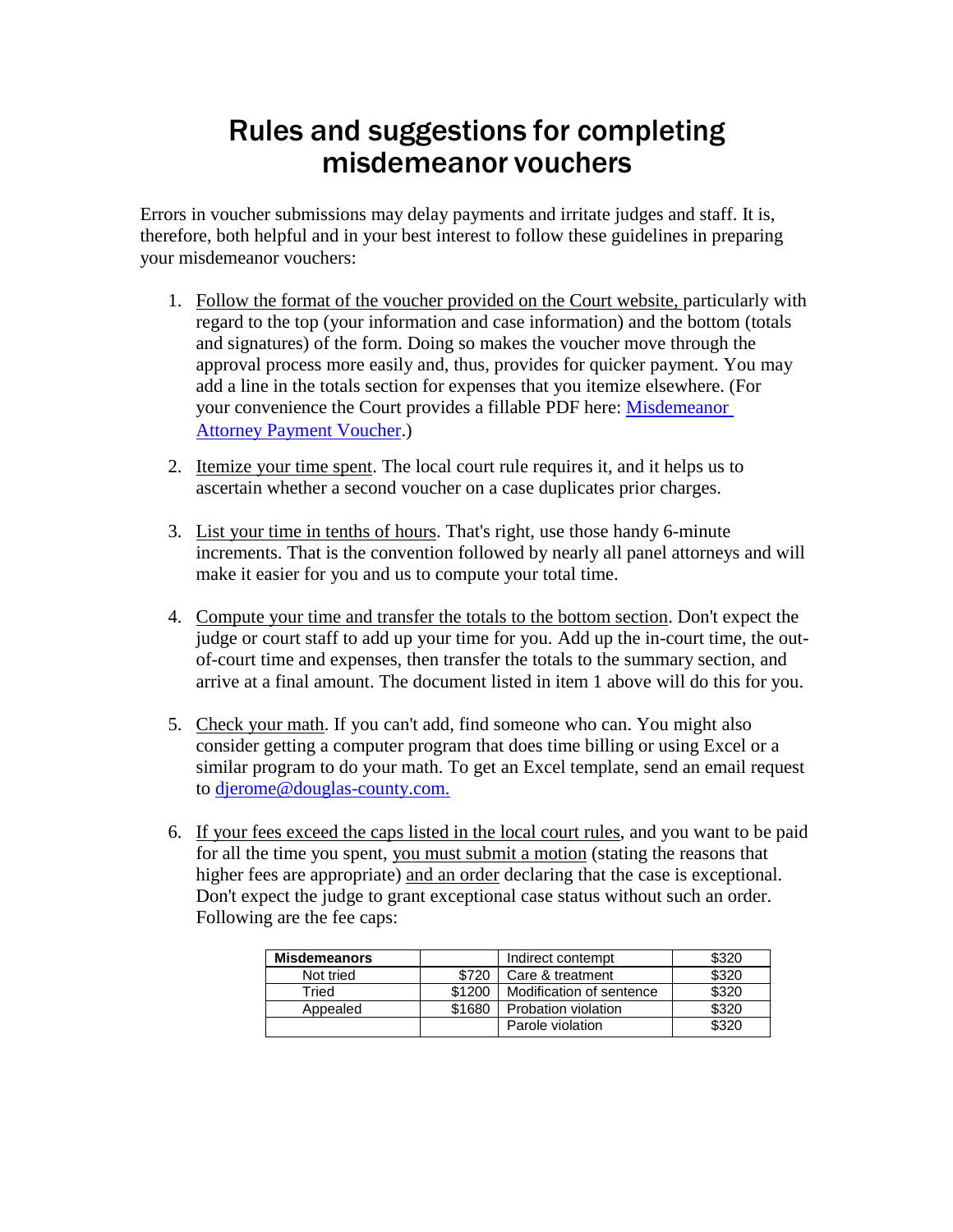## Rules and suggestions for completing misdemeanor vouchers

Errors in voucher submissions may delay payments and irritate judges and staff. It is, therefore, both helpful and in your best interest to follow these guidelines in preparing your misdemeanor vouchers:

- 1. Follow the format of the voucher provided on the Court website, particularly with regard to the top (your information and case information) and the bottom (totals and signatures) of the form. Doing so makes the voucher move through the approval process more easily and, thus, provides for quicker payment. You may add a line in the totals section for expenses that you itemize elsewhere. (For your convenience the Court provides a fillable PDF here: Misdemeanor [Attorney Payment Voucher.](http://www.douglascountyks.org/sites/default/files/media/depts/clerk-district-court/pdf/misdemeanor-attorney-payment-voucher.pdf))
- 2. Itemize your time spent. The local court rule requires it, and it helps us to ascertain whether a second voucher on a case duplicates prior charges.
- 3. List your time in tenths of hours. That's right, use those handy 6-minute increments. That is the convention followed by nearly all panel attorneys and will make it easier for you and us to compute your total time.
- 4. Compute your time and transfer the totals to the bottom section. Don't expect the judge or court staff to add up your time for you. Add up the in-court time, the outof-court time and expenses, then transfer the totals to the summary section, and arrive at a final amount. The document listed in item 1 above will do this for you.
- 5. Check your math. If you can't add, find someone who can. You might also consider getting a computer program that does time billing or using Excel or a similar program to do your math. To get an Excel template, send an email request to [djerome@douglas-county.com.](mailto:djerome@douglas-county.com.)
- 6. If your fees exceed the caps listed in the local court rules, and you want to be paid for all the time you spent, you must submit a motion (stating the reasons that higher fees are appropriate) and an order declaring that the case is exceptional. Don't expect the judge to grant exceptional case status without such an order. Following are the fee caps:

| <b>Misdemeanors</b> |        | Indirect contempt        | \$320 |
|---------------------|--------|--------------------------|-------|
| Not tried           | \$720  | Care & treatment         | \$320 |
| Tried               | \$1200 | Modification of sentence | \$320 |
| Appealed            | \$1680 | Probation violation      | \$320 |
|                     |        | Parole violation         | \$320 |